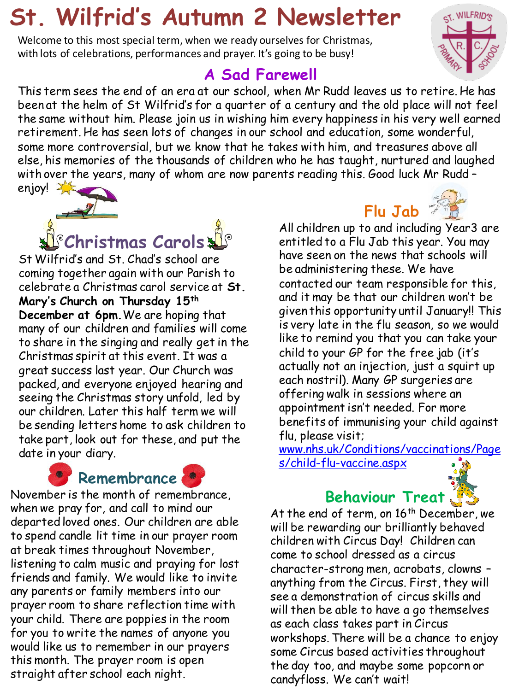# **St. Wilfrid's Autumn 2 Newsletter**

Welcome to this most special term, when we ready ourselves for Christmas, with lots of celebrations, performances and prayer. It's going to be busy!

### **A Sad Farewell**

This term sees the end of an era at our school, when Mr Rudd leaves us to retire. He has been at the helm of St Wilfrid's for a quarter of a century and the old place will not feel the same without him. Please join us in wishing him every happiness in his very well earned retirement. He has seen lots of changes in our school and education, some wonderful, some more controversial, but we know that he takes with him, and treasures above all else, his memories of the thousands of children who he has taught, nurtured and laughed with over the years, many of whom are now parents reading this. Good luck Mr Rudd – enjoy!



St Wilfrid's and St. Chad's school are coming together again with our Parish to celebrate a Christmas carol service at **St. Mary's Church on Thursday 15th December at 6pm.**We are hoping that many of our children and families will come to share in the singing and really get in the Christmas spirit at this event. It was a great success last year. Our Church was packed, and everyone enjoyed hearing and seeing the Christmas story unfold, led by our children. Later this half term we will be sending letters home to ask children to take part, look out for these, and put the date in your diary.





November is the month of remembrance, when we pray for, and call to mind our departed loved ones. Our children are able to spend candle lit time in our prayer room at break times throughout November, listening to calm music and praying for lost friends and family. We would like to invite any parents or family members into our prayer room to share reflection time with your child. There are poppies in the room for you to write the names of anyone you would like us to remember in our prayers this month. The prayer room is open straight after school each night.

## **Flu Jab**

All children up to and including Year3 are entitled to a Flu Jab this year. You may have seen on the news that schools will be administering these. We have contacted our team responsible for this, and it may be that our children won't be given this opportunity until January!! This is very late in the flu season, so we would like to remind you that you can take your child to your GP for the free jab (it's actually not an injection, just a squirt up each nostril). Many GP surgeries are offering walk in sessions where an appointment isn't needed. For more benefits of immunising your child against flu, please visit;

[www.nhs.uk/Conditions/vaccinations/Page](http://www.nhs.uk/Conditions/vaccinations/Pages/child-flu-vaccine.aspx) [s/child-flu-vaccine.aspx](http://www.nhs.uk/Conditions/vaccinations/Pages/child-flu-vaccine.aspx)

### **Behaviour Treat**



At the end of term, on 16<sup>th</sup> December, we will be rewarding our brilliantly behaved children with Circus Day! Children can come to school dressed as a circus character-strong men, acrobats, clowns – anything from the Circus. First, they will see a demonstration of circus skills and will then be able to have a go themselves as each class takes part in Circus workshops. There will be a chance to enjoy some Circus based activities throughout the day too, and maybe some popcorn or candyfloss. We can't wait!